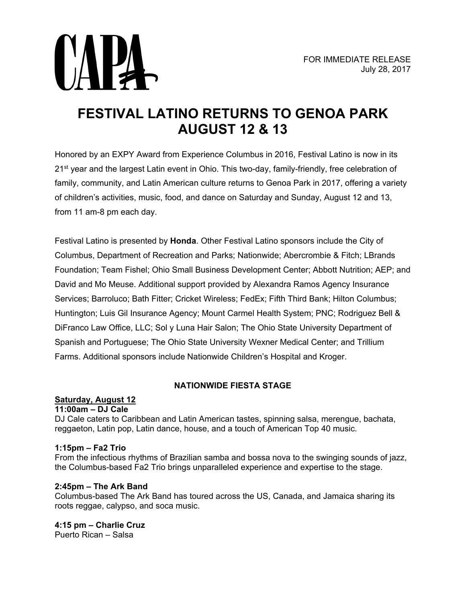

# **FESTIVAL LATINO RETURNS TO GENOA PARK AUGUST 12 & 13**

Honored by an EXPY Award from Experience Columbus in 2016, Festival Latino is now in its 21<sup>st</sup> year and the largest Latin event in Ohio. This two-day, family-friendly, free celebration of family, community, and Latin American culture returns to Genoa Park in 2017, offering a variety of children's activities, music, food, and dance on Saturday and Sunday, August 12 and 13, from 11 am-8 pm each day.

Festival Latino is presented by **Honda**. Other Festival Latino sponsors include the City of Columbus, Department of Recreation and Parks; Nationwide; Abercrombie & Fitch; LBrands Foundation; Team Fishel; Ohio Small Business Development Center; Abbott Nutrition; AEP; and David and Mo Meuse. Additional support provided by Alexandra Ramos Agency Insurance Services; Barroluco; Bath Fitter; Cricket Wireless; FedEx; Fifth Third Bank; Hilton Columbus; Huntington; Luis Gil Insurance Agency; Mount Carmel Health System; PNC; Rodriguez Bell & DiFranco Law Office, LLC; Sol y Luna Hair Salon; The Ohio State University Department of Spanish and Portuguese; The Ohio State University Wexner Medical Center; and Trillium Farms. Additional sponsors include Nationwide Children's Hospital and Kroger.

# **NATIONWIDE FIESTA STAGE**

# **Saturday, August 12**

#### **11:00am – DJ Cale**

DJ Cale caters to Caribbean and Latin American tastes, spinning salsa, merengue, bachata, reggaeton, Latin pop, Latin dance, house, and a touch of American Top 40 music.

#### **1:15pm – Fa2 Trio**

From the infectious rhythms of Brazilian samba and bossa nova to the swinging sounds of jazz, the Columbus-based Fa2 Trio brings unparalleled experience and expertise to the stage.

## **2:45pm – The Ark Band**

Columbus-based The Ark Band has toured across the US, Canada, and Jamaica sharing its roots reggae, calypso, and soca music.

**4:15 pm – Charlie Cruz** Puerto Rican – Salsa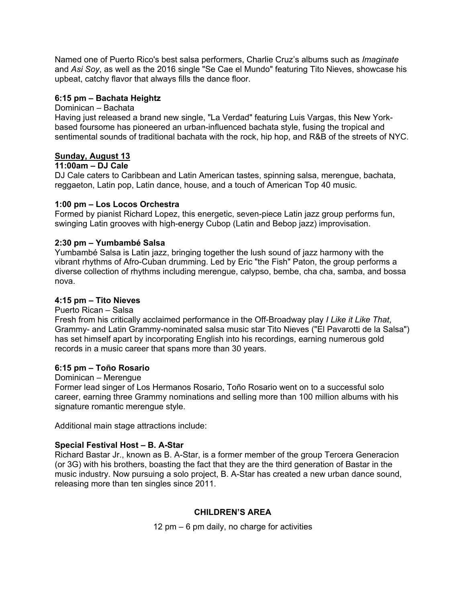Named one of Puerto Rico's best salsa performers, Charlie Cruz's albums such as *Imaginate* and *Asi Soy*, as well as the 2016 single "Se Cae el Mundo" featuring Tito Nieves, showcase his upbeat, catchy flavor that always fills the dance floor.

## **6:15 pm – Bachata Heightz**

#### Dominican – Bachata

Having just released a brand new single, "La Verdad" featuring Luis Vargas, this New Yorkbased foursome has pioneered an urban-influenced bachata style, fusing the tropical and sentimental sounds of traditional bachata with the rock, hip hop, and R&B of the streets of NYC.

## **Sunday, August 13**

#### **11:00am – DJ Cale**

DJ Cale caters to Caribbean and Latin American tastes, spinning salsa, merengue, bachata, reggaeton, Latin pop, Latin dance, house, and a touch of American Top 40 music.

## **1:00 pm – Los Locos Orchestra**

Formed by pianist Richard Lopez, this energetic, seven-piece Latin jazz group performs fun, swinging Latin grooves with high-energy Cubop (Latin and Bebop jazz) improvisation.

## **2:30 pm – Yumbambé Salsa**

Yumbambé Salsa is Latin jazz, bringing together the lush sound of jazz harmony with the vibrant rhythms of Afro-Cuban drumming. Led by Eric "the Fish" Paton, the group performs a diverse collection of rhythms including merengue, calypso, bembe, cha cha, samba, and bossa nova.

## **4:15 pm – Tito Nieves**

#### Puerto Rican – Salsa

Fresh from his critically acclaimed performance in the Off-Broadway play *I Like it Like That*, Grammy- and Latin Grammy-nominated salsa music star Tito Nieves ("El Pavarotti de la Salsa") has set himself apart by incorporating English into his recordings, earning numerous gold records in a music career that spans more than 30 years.

#### **6:15 pm – Toño Rosario**

#### Dominican – Merengue

Former lead singer of Los Hermanos Rosario, Toño Rosario went on to a successful solo career, earning three Grammy nominations and selling more than 100 million albums with his signature romantic merengue style.

Additional main stage attractions include:

#### **Special Festival Host – B. A-Star**

Richard Bastar Jr., known as B. A-Star, is a former member of the group Tercera Generacion (or 3G) with his brothers, boasting the fact that they are the third generation of Bastar in the music industry. Now pursuing a solo project, B. A-Star has created a new urban dance sound, releasing more than ten singles since 2011.

## **CHILDREN'S AREA**

12 pm – 6 pm daily, no charge for activities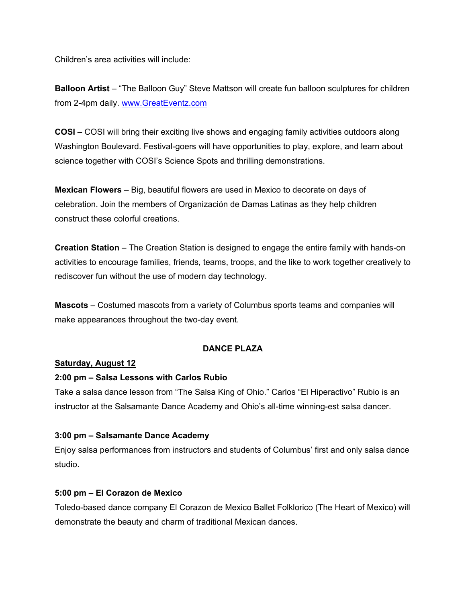Children's area activities will include:

**Balloon Artist** – "The Balloon Guy" Steve Mattson will create fun balloon sculptures for children from 2-4pm daily. [www.GreatEventz.com](http://www.greateventz.com/) 

**COSI** – COSI will bring their exciting live shows and engaging family activities outdoors along Washington Boulevard. Festival-goers will have opportunities to play, explore, and learn about science together with COSI's Science Spots and thrilling demonstrations.

**Mexican Flowers** – Big, beautiful flowers are used in Mexico to decorate on days of celebration. Join the members of Organización de Damas Latinas as they help children construct these colorful creations.

**Creation Station** – The Creation Station is designed to engage the entire family with hands-on activities to encourage families, friends, teams, troops, and the like to work together creatively to rediscover fun without the use of modern day technology.

**Mascots** – Costumed mascots from a variety of Columbus sports teams and companies will make appearances throughout the two-day event.

## **DANCE PLAZA**

## **Saturday, August 12**

#### **2:00 pm – Salsa Lessons with Carlos Rubio**

Take a salsa dance lesson from "The Salsa King of Ohio." Carlos "El Hiperactivo" Rubio is an instructor at the Salsamante Dance Academy and Ohio's all-time winning-est salsa dancer.

## **3:00 pm – Salsamante Dance Academy**

Enjoy salsa performances from instructors and students of Columbus' first and only salsa dance studio.

#### **5:00 pm – El Corazon de Mexico**

Toledo-based dance company El Corazon de Mexico Ballet Folklorico (The Heart of Mexico) will demonstrate the beauty and charm of traditional Mexican dances.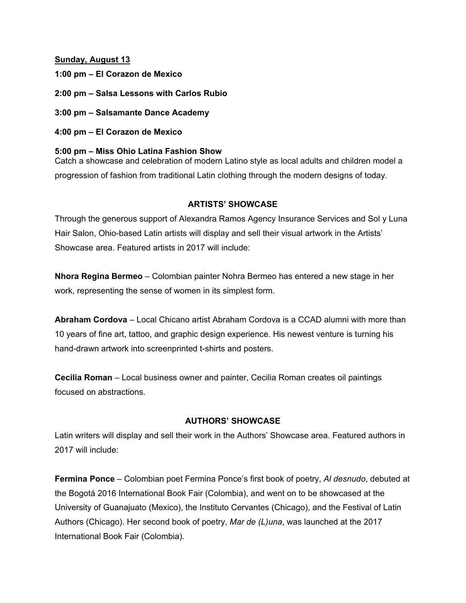#### **Sunday, August 13**

- **1:00 pm El Corazon de Mexico**
- **2:00 pm Salsa Lessons with Carlos Rubio**
- **3:00 pm Salsamante Dance Academy**
- **4:00 pm El Corazon de Mexico**

## **5:00 pm – Miss Ohio Latina Fashion Show**

Catch a showcase and celebration of modern Latino style as local adults and children model a progression of fashion from traditional Latin clothing through the modern designs of today.

## **ARTISTS' SHOWCASE**

Through the generous support of Alexandra Ramos Agency Insurance Services and Sol y Luna Hair Salon, Ohio-based Latin artists will display and sell their visual artwork in the Artists' Showcase area. Featured artists in 2017 will include:

**Nhora Regina Bermeo** – Colombian painter Nohra Bermeo has entered a new stage in her work, representing the sense of women in its simplest form.

**Abraham Cordova** – Local Chicano artist Abraham Cordova is a CCAD alumni with more than 10 years of fine art, tattoo, and graphic design experience. His newest venture is turning his hand-drawn artwork into screenprinted t-shirts and posters.

**Cecilia Roman** – Local business owner and painter, Cecilia Roman creates oil paintings focused on abstractions.

## **AUTHORS' SHOWCASE**

Latin writers will display and sell their work in the Authors' Showcase area. Featured authors in 2017 will include:

**Fermina Ponce** – Colombian poet Fermina Ponce's first book of poetry, *Al desnudo*, debuted at the Bogotá 2016 International Book Fair (Colombia), and went on to be showcased at the University of Guanajuato (Mexico), the Instituto Cervantes (Chicago), and the Festival of Latin Authors (Chicago). Her second book of poetry, *Mar de (L)una*, was launched at the 2017 International Book Fair (Colombia).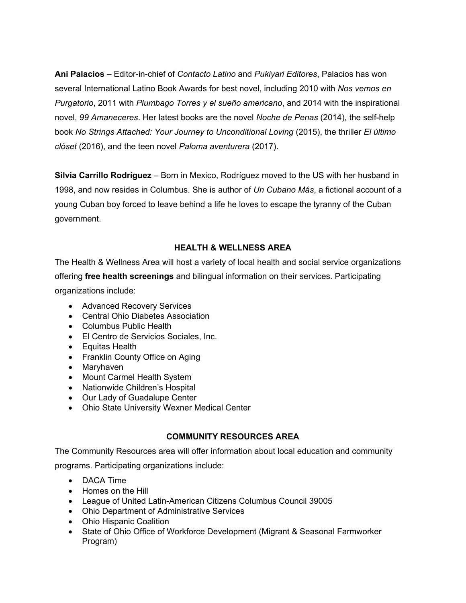**Ani Palacios** – Editor-in-chief of *Contacto Latino* and *Pukiyari Editores*, Palacios has won several International Latino Book Awards for best novel, including 2010 with *Nos vemos en Purgatorio*, 2011 with *Plumbago Torres y el sueño americano*, and 2014 with the inspirational novel, *99 Amaneceres*. Her latest books are the novel *Noche de Penas* (2014), the self-help book *No Strings Attached: Your Journey to Unconditional Loving* (2015), the thriller *El último clóset* (2016), and the teen novel *Paloma aventurera* (2017).

**Silvia Carrillo Rodríguez** – Born in Mexico, Rodríguez moved to the US with her husband in 1998, and now resides in Columbus. She is author of *Un Cubano Más*, a fictional account of a young Cuban boy forced to leave behind a life he loves to escape the tyranny of the Cuban government.

## **HEALTH & WELLNESS AREA**

The Health & Wellness Area will host a variety of local health and social service organizations offering **free health screenings** and bilingual information on their services. Participating organizations include:

- Advanced Recovery Services
- Central Ohio Diabetes Association
- Columbus Public Health
- El Centro de Servicios Sociales, Inc.
- Equitas Health
- Franklin County Office on Aging
- Maryhaven
- Mount Carmel Health System
- Nationwide Children's Hospital
- Our Lady of Guadalupe Center
- Ohio State University Wexner Medical Center

# **COMMUNITY RESOURCES AREA**

The Community Resources area will offer information about local education and community

programs. Participating organizations include:

- DACA Time
- Homes on the Hill
- League of United Latin-American Citizens Columbus Council 39005
- Ohio Department of Administrative Services
- Ohio Hispanic Coalition
- State of Ohio Office of Workforce Development (Migrant & Seasonal Farmworker Program)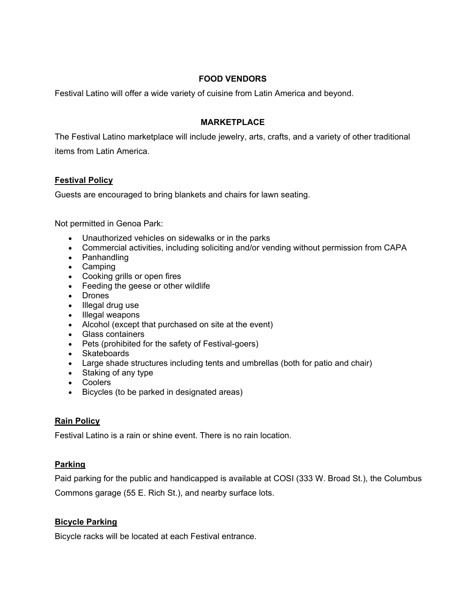## **FOOD VENDORS**

Festival Latino will offer a wide variety of cuisine from Latin America and beyond.

## **MARKETPLACE**

The Festival Latino marketplace will include jewelry, arts, crafts, and a variety of other traditional items from Latin America.

## **Festival Policy**

Guests are encouraged to bring blankets and chairs for lawn seating.

Not permitted in Genoa Park:

- Unauthorized vehicles on sidewalks or in the parks
- Commercial activities, including soliciting and/or vending without permission from CAPA
- Panhandling
- Camping
- Cooking grills or open fires
- Feeding the geese or other wildlife
- Drones
- Illegal drug use
- Illegal weapons
- Alcohol (except that purchased on site at the event)
- Glass containers
- Pets (prohibited for the safety of Festival-goers)
- Skateboards
- Large shade structures including tents and umbrellas (both for patio and chair)
- Staking of any type
- Coolers
- Bicycles (to be parked in designated areas)

## **Rain Policy**

Festival Latino is a rain or shine event. There is no rain location.

# **Parking**

Paid parking for the public and handicapped is available at COSI (333 W. Broad St.), the Columbus

Commons garage (55 E. Rich St.), and nearby surface lots.

# **Bicycle Parking**

Bicycle racks will be located at each Festival entrance.